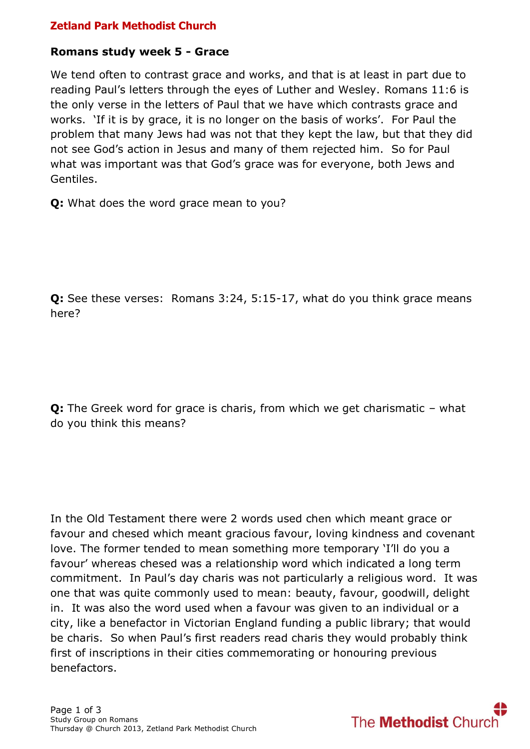# **Zetland Park Methodist Church**

#### **Romans study week 5 - Grace**

We tend often to contrast grace and works, and that is at least in part due to reading Paul's letters through the eyes of Luther and Wesley. Romans 11:6 is the only verse in the letters of Paul that we have which contrasts grace and works. 'If it is by grace, it is no longer on the basis of works'. For Paul the problem that many Jews had was not that they kept the law, but that they did not see God's action in Jesus and many of them rejected him. So for Paul what was important was that God's grace was for everyone, both Jews and Gentiles.

**Q:** What does the word grace mean to you?

**Q:** See these verses: Romans 3:24, 5:15-17, what do you think grace means here?

**Q:** The Greek word for grace is charis, from which we get charismatic – what do you think this means?

In the Old Testament there were 2 words used chen which meant grace or favour and chesed which meant gracious favour, loving kindness and covenant love. The former tended to mean something more temporary 'I'll do you a favour' whereas chesed was a relationship word which indicated a long term commitment. In Paul's day charis was not particularly a religious word. It was one that was quite commonly used to mean: beauty, favour, goodwill, delight in. It was also the word used when a favour was given to an individual or a city, like a benefactor in Victorian England funding a public library; that would be charis. So when Paul's first readers read charis they would probably think first of inscriptions in their cities commemorating or honouring previous benefactors.

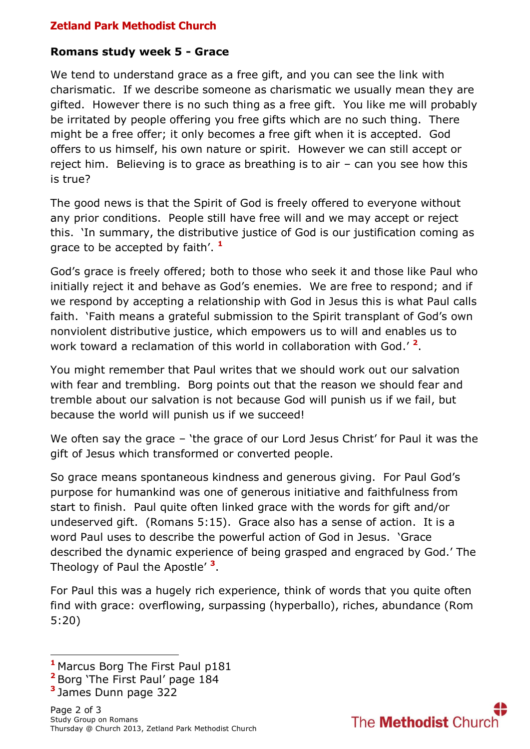# **Zetland Park Methodist Church**

## **Romans study week 5 - Grace**

We tend to understand grace as a free gift, and you can see the link with charismatic. If we describe someone as charismatic we usually mean they are gifted. However there is no such thing as a free gift. You like me will probably be irritated by people offering you free gifts which are no such thing. There might be a free offer; it only becomes a free gift when it is accepted. God offers to us himself, his own nature or spirit. However we can still accept or reject him. Believing is to grace as breathing is to air – can you see how this is true?

The good news is that the Spirit of God is freely offered to everyone without any prior conditions. People still have free will and we may accept or reject this. 'In summary, the distributive justice of God is our justification coming as grace to be accepted by faith'. **1**

God's grace is freely offered; both to those who seek it and those like Paul who initially reject it and behave as God's enemies. We are free to respond; and if we respond by accepting a relationship with God in Jesus this is what Paul calls faith. 'Faith means a grateful submission to the Spirit transplant of God's own nonviolent distributive justice, which empowers us to will and enables us to work toward a reclamation of this world in collaboration with God.' **2** .

You might remember that Paul writes that we should work out our salvation with fear and trembling. Borg points out that the reason we should fear and tremble about our salvation is not because God will punish us if we fail, but because the world will punish us if we succeed!

We often say the grace – 'the grace of our Lord Jesus Christ' for Paul it was the gift of Jesus which transformed or converted people.

So grace means spontaneous kindness and generous giving. For Paul God's purpose for humankind was one of generous initiative and faithfulness from start to finish. Paul quite often linked grace with the words for gift and/or undeserved gift. (Romans 5:15). Grace also has a sense of action. It is a word Paul uses to describe the powerful action of God in Jesus. 'Grace described the dynamic experience of being grasped and engraced by God.' The Theology of Paul the Apostle' **<sup>3</sup>** .

For Paul this was a hugely rich experience, think of words that you quite often find with grace: overflowing, surpassing (hyperballo), riches, abundance (Rom 5:20)

1



**<sup>1</sup>** Marcus Borg The First Paul p181

**<sup>2</sup>** Borg 'The First Paul' page 184

**<sup>3</sup>** James Dunn page 322